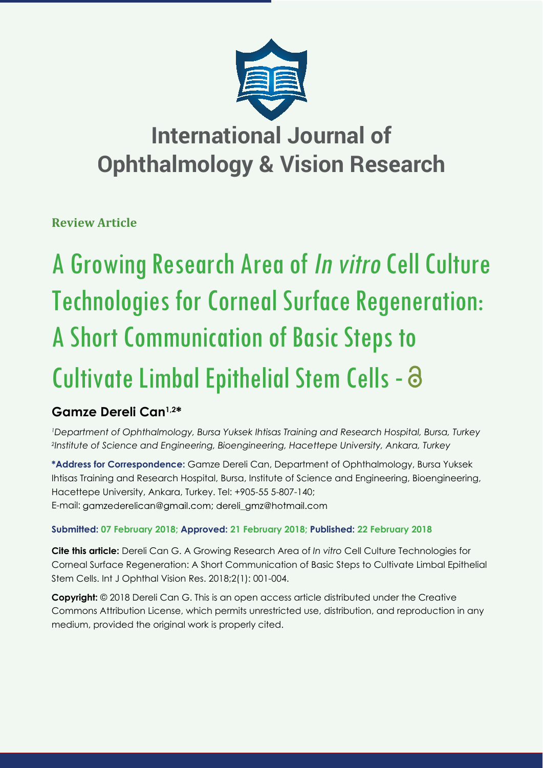

## **International Journal of Ophthalmology & Vision Research**

**Review Article**

# A Growing Research Area of In vitro Cell Culture Technologies for Corneal Surface Regeneration: A Short Communication of Basic Steps to Cultivate Limbal Epithelial Stem Cells -

## **Gamze Dereli Can1,2\***

*1 Department of Ophthalmology, Bursa Yuksek Ihtisas Training and Research Hospital, Bursa, Turkey 2 Institute of Science and Engineering, Bioengineering, Hacettepe University, Ankara, Turkey* 

**\*Address for Correspondence:** Gamze Dereli Can, Department of Ophthalmology, Bursa Yuksek Ihtisas Training and Research Hospital, Bursa, Institute of Science and Engineering, Bioengineering, Hacettepe University, Ankara, Turkey. Tel: +905-55 5-807-140; E-mail: gamzederelican@gmail.com; dereli\_gmz@hotmail.com

### **Submitted: 07 February 2018; Approved: 21 February 2018; Published: 22 February 2018**

**Cite this article:** Dereli Can G. A Growing Research Area of *In vitro* Cell Culture Technologies for Corneal Surface Regeneration: A Short Communication of Basic Steps to Cultivate Limbal Epithelial Stem Cells. Int J Ophthal Vision Res. 2018;2(1): 001-004.

**Copyright:** © 2018 Dereli Can G. This is an open access article distributed under the Creative Commons Attribution License, which permits unrestricted use, distribution, and reproduction in any medium, provided the original work is properly cited.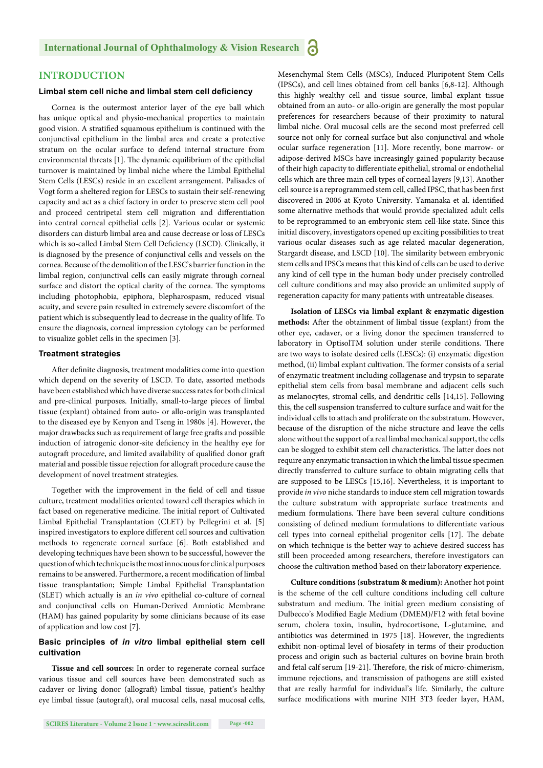#### **INTRODUCTION**

#### **Limbal stem cell niche and limbal stem cell deficiency**

Cornea is the outermost anterior layer of the eye ball which has unique optical and physio-mechanical properties to maintain good vision. A stratified squamous epithelium is continued with the conjunctival epithelium in the limbal area and create a protective stratum on the ocular surface to defend internal structure from environmental threats [1]. The dynamic equilibrium of the epithelial turnover is maintained by limbal niche where the Limbal Epithelial Stem Cells (LESCs) reside in an excellent arrangement. Palisades of Vogt form a sheltered region for LESCs to sustain their self-renewing capacity and act as a chief factory in order to preserve stem cell pool and proceed centripetal stem cell migration and differentiation into central corneal epithelial cells [2]. Various ocular or systemic disorders can disturb limbal area and cause decrease or loss of LESCs which is so-called Limbal Stem Cell Deficiency (LSCD). Clinically, it is diagnosed by the presence of conjunctival cells and vessels on the cornea. Because of the demolition of the LESC's barrier function in the limbal region, conjunctival cells can easily migrate through corneal surface and distort the optical clarity of the cornea. The symptoms including photophobia, epiphora, blepharospasm, reduced visual acuity, and severe pain resulted in extremely severe discomfort of the patient which is subsequently lead to decrease in the quality of life. To ensure the diagnosis, corneal impression cytology can be performed to visualize goblet cells in the specimen [3].

#### **Treatment strategies**

After definite diagnosis, treatment modalities come into question which depend on the severity of LSCD. To date, assorted methods have been established which have diverse success rates for both clinical and pre-clinical purposes. Initially, small-to-large pieces of limbal tissue (explant) obtained from auto- or allo-origin was transplanted to the diseased eye by Kenyon and Tseng in 1980s [4]. However, the major drawbacks such as requirement of large free grafts and possible induction of iatrogenic donor-site deficiency in the healthy eye for autograft procedure, and limited availability of qualified donor graft material and possible tissue rejection for allograft procedure cause the development of novel treatment strategies.

Together with the improvement in the field of cell and tissue culture, treatment modalities oriented toward cell therapies which in fact based on regenerative medicine. The initial report of Cultivated Limbal Epithelial Transplantation (CLET) by Pellegrini et al. [5] inspired investigators to explore different cell sources and cultivation methods to regenerate corneal surface [6]. Both established and developing techniques have been shown to be successful, however the question of which technique is the most innocuous for clinical purposes remains to be answered. Furthermore, a recent modification of limbal tissue transplantation; Simple Limbal Epithelial Transplantation (SLET) which actually is an *in vivo* epithelial co-culture of corneal and conjunctival cells on Human-Derived Amniotic Membrane (HAM) has gained popularity by some clinicians because of its ease of application and low cost [7].

#### **Basic principles of** *in vitro* **limbal epithelial stem cell cultivation**

**Tissue and cell sources:** In order to regenerate corneal surface various tissue and cell sources have been demonstrated such as cadaver or living donor (allograft) limbal tissue, patient's healthy eye limbal tissue (autograft), oral mucosal cells, nasal mucosal cells, Mesenchymal Stem Cells (MSCs), Induced Pluripotent Stem Cells (IPSCs), and cell lines obtained from cell banks [6,8-12]. Although this highly wealthy cell and tissue source, limbal explant tissue obtained from an auto- or allo-origin are generally the most popular preferences for researchers because of their proximity to natural limbal niche. Oral mucosal cells are the second most preferred cell source not only for corneal surface but also conjunctival and whole ocular surface regeneration [11]. More recently, bone marrow- or adipose-derived MSCs have increasingly gained popularity because of their high capacity to differentiate epithelial, stromal or endothelial cells which are three main cell types of corneal layers [9,13]. Another cell source is a reprogrammed stem cell, called IPSC, that has been first discovered in 2006 at Kyoto University. Yamanaka et al. identified some alternative methods that would provide specialized adult cells to be reprogrammed to an embryonic stem cell-like state. Since this initial discovery, investigators opened up exciting possibilities to treat various ocular diseases such as age related macular degeneration, Stargardt disease, and LSCD [10]. The similarity between embryonic stem cells and IPSCs means that this kind of cells can be used to derive any kind of cell type in the human body under precisely controlled cell culture conditions and may also provide an unlimited supply of regeneration capacity for many patients with untreatable diseases.

**Isolation of LESCs via limbal explant & enzymatic digestion**  methods: After the obtainment of limbal tissue (explant) from the other eye, cadaver, or a living donor the specimen transferred to laboratory in OptisolTM solution under sterile conditions. There are two ways to isolate desired cells (LESCs): (i) enzymatic digestion method, (ii) limbal explant cultivation. The former consists of a serial of enzymatic treatment including collagenase and trypsin to separate epithelial stem cells from basal membrane and adjacent cells such as melanocytes, stromal cells, and dendritic cells [14,15]. Following this, the cell suspension transferred to culture surface and wait for the individual cells to attach and proliferate on the substratum. However, because of the disruption of the niche structure and leave the cells alone without the support of a real limbal mechanical support, the cells can be slogged to exhibit stem cell characteristics. The latter does not require any enzymatic transaction in which the limbal tissue specimen directly transferred to culture surface to obtain migrating cells that are supposed to be LESCs [15,16]. Nevertheless, it is important to provide *in vivo* niche standards to induce stem cell migration towards the culture substratum with appropriate surface treatments and medium formulations. There have been several culture conditions consisting of defined medium formulations to differentiate various cell types into corneal epithelial progenitor cells [17]. The debate on which technique is the better way to achieve desired success has still been proceeded among researchers, therefore investigators can choose the cultivation method based on their laboratory experience.

**Culture conditions (substratum & medium):** Another hot point is the scheme of the cell culture conditions including cell culture substratum and medium. The initial green medium consisting of Dulbecco's Modified Eagle Medium (DMEM)/F12 with fetal bovine serum, cholera toxin, insulin, hydrocortisone, L-glutamine, and antibiotics was determined in 1975 [18]. However, the ingredients exhibit non-optimal level of biosafety in terms of their production process and origin such as bacterial cultures on bovine brain broth and fetal calf serum [19-21]. Therefore, the risk of micro-chimerism, immune rejections, and transmission of pathogens are still existed that are really harmful for individual's life. Similarly, the culture surface modifications with murine NIH 3T3 feeder layer, HAM,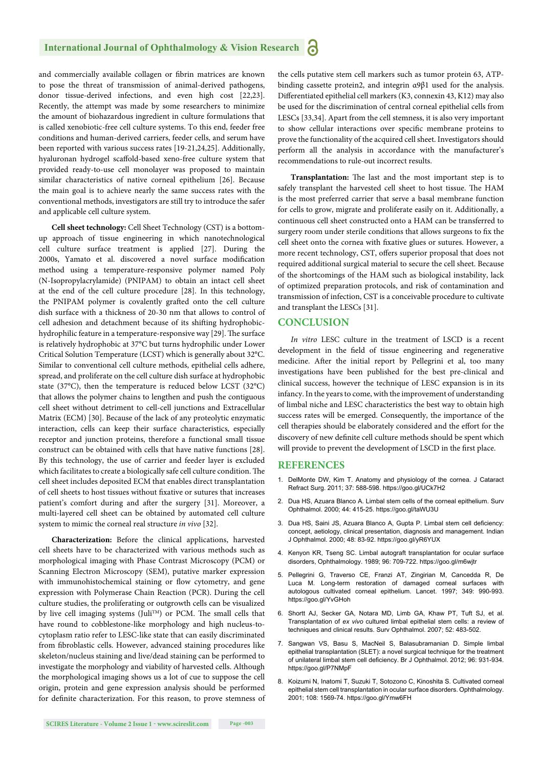#### **International Journal of Ophthalmology & Vision Research** Ы

and commercially available collagen or fibrin matrices are known to pose the threat of transmission of animal-derived pathogens, donor tissue-derived infections, and even high cost [22,23]. Recently, the attempt was made by some researchers to minimize the amount of biohazardous ingredient in culture formulations that is called xenobiotic-free cell culture systems. To this end, feeder free conditions and human-derived carriers, feeder cells, and serum have been reported with various success rates [19-21,24,25]. Additionally, hyaluronan hydrogel scaffold-based xeno-free culture system that provided ready-to-use cell monolayer was proposed to maintain similar characteristics of native corneal epithelium [26]. Because the main goal is to achieve nearly the same success rates with the conventional methods, investigators are still try to introduce the safer and applicable cell culture system.

**Cell sheet technology:** Cell Sheet Technology (CST) is a bottomup approach of tissue engineering in which nanotechnological cell culture surface treatment is applied [27]. During the 2000s, Yamato et al. discovered a novel surface modification method using a temperature-responsive polymer named Poly (N-Isopropylacrylamide) (PNIPAM) to obtain an intact cell sheet at the end of the cell culture procedure [28]. In this technology, the PNIPAM polymer is covalently grafted onto the cell culture dish surface with a thickness of 20-30 nm that allows to control of cell adhesion and detachment because of its shifting hydrophobichydrophilic feature in a temperature-responsive way [29]. The surface is relatively hydrophobic at 37°C but turns hydrophilic under Lower Critical Solution Temperature (LCST) which is generally about 32°C. Similar to conventional cell culture methods, epithelial cells adhere, spread, and proliferate on the cell culture dish surface at hydrophobic state (37°C), then the temperature is reduced below LCST (32°C) that allows the polymer chains to lengthen and push the contiguous cell sheet without detriment to cell-cell junctions and Extracellular Matrix (ECM) [30]. Because of the lack of any proteolytic enzymatic interaction, cells can keep their surface characteristics, especially receptor and junction proteins, therefore a functional small tissue construct can be obtained with cells that have native functions [28]. By this technology, the use of carrier and feeder layer is excluded which facilitates to create a biologically safe cell culture condition. The cell sheet includes deposited ECM that enables direct transplantation of cell sheets to host tissues without fixative or sutures that increases patient's comfort during and after the surgery [31]. Moreover, a multi-layered cell sheet can be obtained by automated cell culture system to mimic the corneal real structure *in vivo* [32].

**Characterization:** Before the clinical applications, harvested cell sheets have to be characterized with various methods such as morphological imaging with Phase Contrast Microscopy (PCM) or Scanning Electron Microscopy (SEM), putative marker expression with immunohistochemical staining or flow cytometry, and gene expression with Polymerase Chain Reaction (PCR). During the cell culture studies, the proliferating or outgrowth cells can be visualized by live cell imaging systems (Juli<sup>TM</sup>) or PCM. The small cells that have round to cobblestone-like morphology and high nucleus-tocytoplasm ratio refer to LESC-like state that can easily discriminated from fibroblastic cells. However, advanced staining procedures like skeleton/nucleus staining and live/dead staining can be performed to investigate the morphology and viability of harvested cells. Although the morphological imaging shows us a lot of cue to suppose the cell origin, protein and gene expression analysis should be performed for definite characterization. For this reason, to prove stemness of

the cells putative stem cell markers such as tumor protein 63, ATPbinding cassette protein2, and integrin α9β1 used for the analysis. Differentiated epithelial cell markers (K3, connexin 43, K12) may also be used for the discrimination of central corneal epithelial cells from LESCs [33,34]. Apart from the cell stemness, it is also very important to show cellular interactions over specific membrane proteins to prove the functionality of the acquired cell sheet. Investigators should perform all the analysis in accordance with the manufacturer's recommendations to rule-out incorrect results.

Transplantation: The last and the most important step is to safely transplant the harvested cell sheet to host tissue. The HAM is the most preferred carrier that serve a basal membrane function for cells to grow, migrate and proliferate easily on it. Additionally, a continuous cell sheet constructed onto a HAM can be transferred to surgery room under sterile conditions that allows surgeons to fix the cell sheet onto the cornea with fixative glues or sutures. However, a more recent technology, CST, offers superior proposal that does not required additional surgical material to secure the cell sheet. Because of the shortcomings of the HAM such as biological instability, lack of optimized preparation protocols, and risk of contamination and transmission of infection, CST is a conceivable procedure to cultivate and transplant the LESCs [31].

#### **CONCLUSION**

*In vitro* LESC culture in the treatment of LSCD is a recent development in the field of tissue engineering and regenerative medicine. After the initial report by Pellegrini et al, too many investigations have been published for the best pre-clinical and clinical success, however the technique of LESC expansion is in its infancy. In the years to come, with the improvement of understanding of limbal niche and LESC characteristics the best way to obtain high success rates will be emerged. Consequently, the importance of the cell therapies should be elaborately considered and the effort for the discovery of new definite cell culture methods should be spent which will provide to prevent the development of LSCD in the first place.

#### **REFERENCES**

- 1. DelMonte DW, Kim T. Anatomy and physiology of the cornea. J Cataract Refract Surg. 2011; 37: 588-598. https://goo.gl/UCk7H2
- 2. Dua HS, Azuara Blanco A. Limbal stem cells of the corneal epithelium. Surv Ophthalmol. 2000; 44: 415-25. https://goo.gl/taWU3U
- 3. Dua HS, Saini JS, Azuara Blanco A, Gupta P, Limbal stem cell deficiency: concept, aetiology, clinical presentation, diagnosis and management. Indian J Ophthalmol. 2000; 48: 83-92. https://goo.gl/yR6YUX
- 4. Kenyon KR, Tseng SC. Limbal autograft transplantation for ocular surface disorders, Ophthalmology. 1989; 96: 709-722. https://goo.gl/m6wjtr
- 5. Pellegrini G, Traverso CE, Franzi AT, Zingirian M, Cancedda R, De Luca M. Long-term restoration of damaged corneal surfaces with autologous cultivated corneal epithelium. Lancet. 1997; 349: 990-993. https://goo.gl/YvGHoh
- 6. Shortt AJ, Secker GA, Notara MD, Limb GA, Khaw PT, Tuft SJ, et al. Transplantation of *ex vivo* cultured limbal epithelial stem cells: a review of techniques and clinical results. Surv Ophthalmol. 2007; 52: 483-502.
- 7. Sangwan VS, Basu S, MacNeil S, Balasubramanian D. Simple limbal epithelial transplantation (SLET): a novel surgical technique for the treatment of unilateral limbal stem cell deficiency. Br J Ophthalmol. 2012; 96: 931-934. https://goo.gl/P7NMpF
- 8. Koizumi N, Inatomi T, Suzuki T, Sotozono C, Kinoshita S. Cultivated corneal epithelial stem cell transplantation in ocular surface disorders. Ophthalmology. 2001; 108: 1569-74. https://goo.gl/Ymw6FH